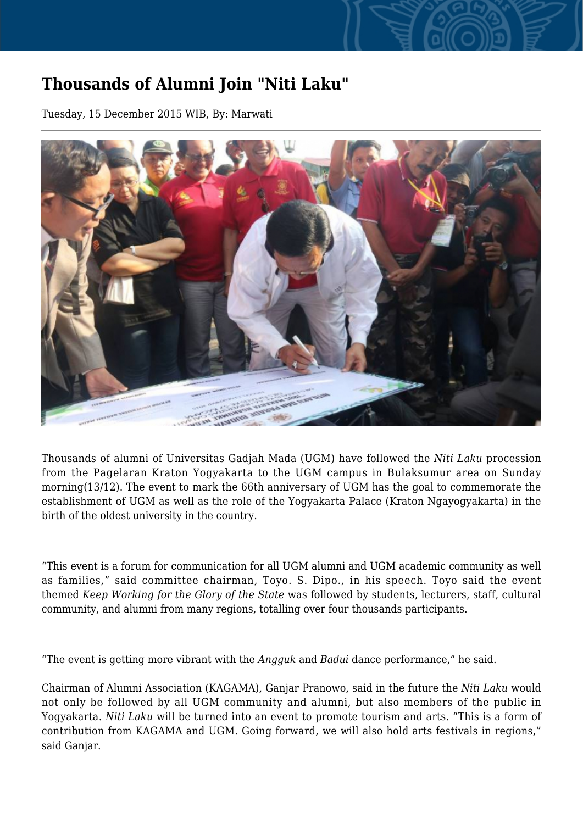## **Thousands of Alumni Join "Niti Laku"**

Tuesday, 15 December 2015 WIB, By: Marwati



Thousands of alumni of Universitas Gadjah Mada (UGM) have followed the *Niti Laku* procession from the Pagelaran Kraton Yogyakarta to the UGM campus in Bulaksumur area on Sunday morning(13/12). The event to mark the 66th anniversary of UGM has the goal to commemorate the establishment of UGM as well as the role of the Yogyakarta Palace (Kraton Ngayogyakarta) in the birth of the oldest university in the country.

"This event is a forum for communication for all UGM alumni and UGM academic community as well as families," said committee chairman, Toyo. S. Dipo., in his speech. Toyo said the event themed *Keep Working for the Glory of the State* was followed by students, lecturers, staff, cultural community, and alumni from many regions, totalling over four thousands participants.

"The event is getting more vibrant with the *Angguk* and *Badui* dance performance," he said.

Chairman of Alumni Association (KAGAMA), Ganjar Pranowo, said in the future the *Niti Laku* would not only be followed by all UGM community and alumni, but also members of the public in Yogyakarta. *Niti Laku* will be turned into an event to promote tourism and arts. "This is a form of contribution from KAGAMA and UGM. Going forward, we will also hold arts festivals in regions," said Ganjar.